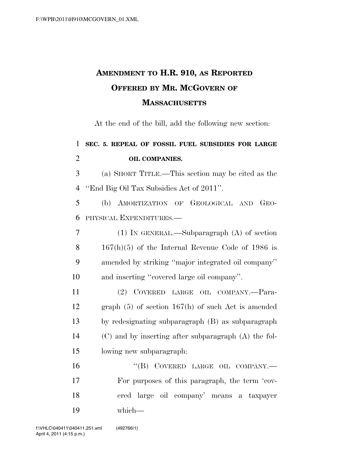## **AMENDMENT TO H.R. 910, AS REPORTED OFFERED BY MR. MCGOVERN OF MASSACHUSETTS**

At the end of the bill, add the following new section:

| 1              | SEC. 5. REPEAL OF FOSSIL FUEL SUBSIDIES FOR LARGE    |
|----------------|------------------------------------------------------|
| $\overline{2}$ | <b>OIL COMPANIES.</b>                                |
| 3              | (a) SHORT TITLE.—This section may be cited as the    |
| $\overline{4}$ | "End Big Oil Tax Subsidies Act of 2011".             |
| 5              | (b) AMORTIZATION OF GEOLOGICAL AND<br>$GEO-$         |
| 6              | PHYSICAL EXPENDITURES.                               |
| 7              | $(1)$ In GENERAL.—Subparagraph $(A)$ of section      |
| 8              | $167(h)(5)$ of the Internal Revenue Code of 1986 is  |
| 9              | amended by striking "major integrated oil company"   |
| 10             | and inserting "covered large oil company".           |
| 11             | (2) COVERED LARGE OIL COMPANY.-Para-                 |
| 12             | graph $(5)$ of section 167(h) of such Act is amended |
| 13             | by redesignating subparagraph (B) as subparagraph    |
| 14             | (C) and by inserting after subparagraph (A) the fol- |
| 15             | lowing new subparagraph:                             |
| 16             | "(B) COVERED LARGE OIL COMPANY.-                     |
| 17             | For purposes of this paragraph, the term 'cov-       |
| 18             | ered large oil company' means a taxpayer             |
| 19             | which-                                               |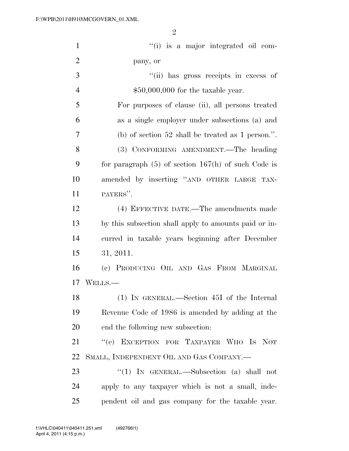| $\mathbf{1}$   | "(i) is a major integrated oil com-                     |
|----------------|---------------------------------------------------------|
| $\overline{2}$ | pany, or                                                |
| 3              | "(ii) has gross receipts in excess of                   |
| $\overline{4}$ | $$50,000,000$ for the taxable year.                     |
| 5              | For purposes of clause (ii), all persons treated        |
| 6              | as a single employer under subsections (a) and          |
| 7              | (b) of section 52 shall be treated as 1 person.".       |
| 8              | (3) CONFORMING AMENDMENT.—The heading                   |
| 9              | for paragraph $(5)$ of section $167(h)$ of such Code is |
| 10             | amended by inserting "AND OTHER LARGE TAX-              |
| 11             | PAYERS".                                                |
| 12             | (4) EFFECTIVE DATE.—The amendments made                 |
| 13             | by this subsection shall apply to amounts paid or in-   |
| 14             | curred in taxable years beginning after December        |
| 15             | 31, 2011.                                               |
| 16             | (c) PRODUCING OIL AND GAS FROM MARGINAL                 |
| 17             | WELLS.-                                                 |
| 18             | (1) IN GENERAL.—Section 45I of the Internal             |
| 19             | Revenue Code of 1986 is amended by adding at the        |
| 20             | end the following new subsection:                       |
| 21             | "(e) EXCEPTION FOR TAXPAYER WHO IS NOT                  |
| 22             | SMALL, INDEPENDENT OIL AND GAS COMPANY.—                |
| 23             | "(1) IN GENERAL.—Subsection (a) shall not               |
| 24             | apply to any taxpayer which is not a small, inde-       |
| 25             | pendent oil and gas company for the taxable year.       |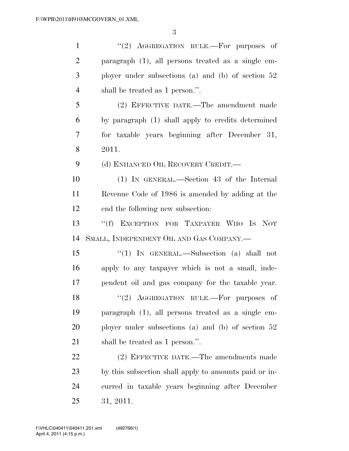| $\mathbf{1}$   | "(2) AGGREGATION RULE.—For purposes of                |
|----------------|-------------------------------------------------------|
| $\overline{2}$ | paragraph (1), all persons treated as a single em-    |
| 3              | ployer under subsections (a) and (b) of section $52$  |
| $\overline{4}$ | shall be treated as 1 person.".                       |
| 5              | (2) EFFECTIVE DATE.—The amendment made                |
| 6              | by paragraph (1) shall apply to credits determined    |
| 7              | for taxable years beginning after December 31,        |
| 8              | 2011.                                                 |
| 9              | (d) ENHANCED OIL RECOVERY CREDIT.                     |
| 10             | (1) IN GENERAL.—Section 43 of the Internal            |
| 11             | Revenue Code of 1986 is amended by adding at the      |
| 12             | end the following new subsection:                     |
| 13             | "(f) EXCEPTION FOR TAXPAYER WHO IS NOT                |
| 14             | SMALL, INDEPENDENT OIL AND GAS COMPANY.-              |
| 15             | "(1) IN GENERAL.—Subsection (a) shall not             |
| 16             | apply to any taxpayer which is not a small, inde-     |
| 17             | pendent oil and gas company for the taxable year.     |
| 18             | $(2)$ AGGREGATION RULE.—For purposes of               |
| 19             | paragraph (1), all persons treated as a single em-    |
| 20             | ployer under subsections (a) and (b) of section $52$  |
| 21             | shall be treated as 1 person.".                       |
| 22             | (2) EFFECTIVE DATE.—The amendments made               |
| 23             | by this subsection shall apply to amounts paid or in- |
| 24             | curred in taxable years beginning after December      |
| 25             | 31, 2011.                                             |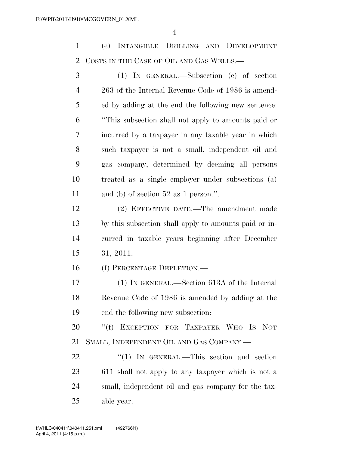(e) INTANGIBLE DRILLING AND DEVELOPMENT COSTS IN THE CASE OF OIL AND GAS WELLS.—

 (1) IN GENERAL.—Subsection (c) of section 263 of the Internal Revenue Code of 1986 is amend- ed by adding at the end the following new sentence: ''This subsection shall not apply to amounts paid or incurred by a taxpayer in any taxable year in which such taxpayer is not a small, independent oil and gas company, determined by deeming all persons treated as a single employer under subsections (a) and (b) of section 52 as 1 person.''.

 (2) EFFECTIVE DATE.—The amendment made by this subsection shall apply to amounts paid or in- curred in taxable years beginning after December 31, 2011.

(f) PERCENTAGE DEPLETION.—

 (1) IN GENERAL.—Section 613A of the Internal Revenue Code of 1986 is amended by adding at the end the following new subsection:

20 "(f) EXCEPTION FOR TAXPAYER WHO IS NOT SMALL, INDEPENDENT OIL AND GAS COMPANY.—

22 "(1) IN GENERAL.—This section and section 611 shall not apply to any taxpayer which is not a small, independent oil and gas company for the tax-able year.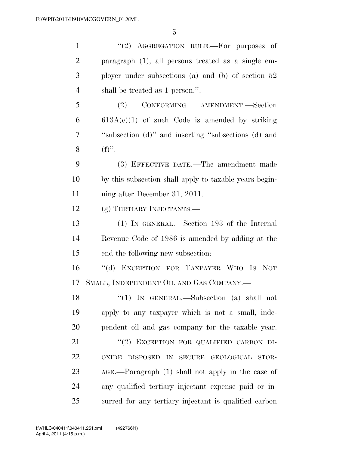| $\mathbf{1}$   | "(2) AGGREGATION RULE.—For purposes of                 |
|----------------|--------------------------------------------------------|
| $\overline{2}$ | paragraph (1), all persons treated as a single em-     |
| 3              | ployer under subsections (a) and (b) of section $52$   |
| $\overline{4}$ | shall be treated as 1 person.".                        |
| 5              | (2)<br>CONFORMING AMENDMENT.—Section                   |
| 6              | $613A(c)(1)$ of such Code is amended by striking       |
| $\overline{7}$ | "subsection (d)" and inserting "subsections (d) and    |
| 8              | $(f)$ ".                                               |
| 9              | (3) EFFECTIVE DATE.—The amendment made                 |
| 10             | by this subsection shall apply to taxable years begin- |
| 11             | ning after December 31, 2011.                          |
| 12             | (g) TERTIARY INJECTANTS.—                              |
| 13             | (1) IN GENERAL.—Section 193 of the Internal            |
| 14             | Revenue Code of 1986 is amended by adding at the       |
| 15             | end the following new subsection:                      |
| 16             | $\lq\lq (d)$<br>EXCEPTION FOR TAXPAYER WHO IS NOT      |
| 17             | SMALL, INDEPENDENT OIL AND GAS COMPANY.-               |
| 18             | "(1) IN GENERAL.—Subsection (a) shall not              |
| 19             | apply to any taxpayer which is not a small, inde-      |
| 20             | pendent oil and gas company for the taxable year.      |
| 21             | "(2) EXCEPTION FOR QUALIFIED CARBON DI-                |
| 22             | DISPOSED IN SECURE<br>GEOLOGICAL STOR-<br><b>OXIDE</b> |
| 23             | AGE.—Paragraph (1) shall not apply in the case of      |
| 24             | any qualified tertiary injectant expense paid or in-   |
| 25             | curred for any tertiary injectant is qualified carbon  |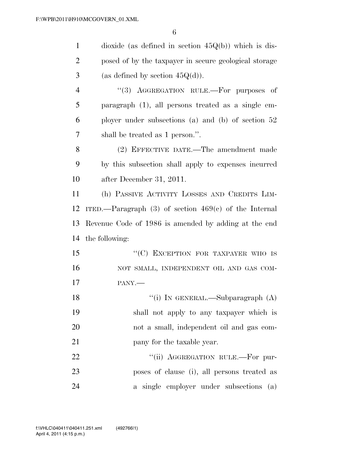| $\mathbf{1}$   | dioxide (as defined in section $45Q(b)$ ) which is dis-   |
|----------------|-----------------------------------------------------------|
| $\overline{2}$ | posed of by the taxpayer in secure geological storage     |
| 3              | (as defined by section $45Q(d)$ ).                        |
| $\overline{4}$ | "(3) AGGREGATION RULE.—For purposes of                    |
| 5              | paragraph $(1)$ , all persons treated as a single em-     |
| 6              | ployer under subsections (a) and (b) of section $52$      |
| 7              | shall be treated as 1 person.".                           |
| 8              | (2) EFFECTIVE DATE.—The amendment made                    |
| 9              | by this subsection shall apply to expenses incurred       |
| 10             | after December 31, 2011.                                  |
| 11             | (h) PASSIVE ACTIVITY LOSSES AND CREDITS LIM-              |
| 12             | ITED.—Paragraph $(3)$ of section $469(e)$ of the Internal |
| 13             | Revenue Code of 1986 is amended by adding at the end      |
| 14             | the following:                                            |
| 15             | "(C) EXCEPTION FOR TAXPAYER WHO IS                        |
| 16             | NOT SMALL, INDEPENDENT OIL AND GAS COM-                   |
| 17             | PANY.-                                                    |
| 18             | "(i) IN GENERAL.—Subparagraph $(A)$                       |
| 19             | shall not apply to any taxpayer which is                  |
| 20             | not a small, independent oil and gas com-                 |
| 21             | pany for the taxable year.                                |
| 22             | "(ii) AGGREGATION RULE.—For pur-                          |
| 23             | poses of clause (i), all persons treated as               |
| 24             | a single employer under subsections (a)                   |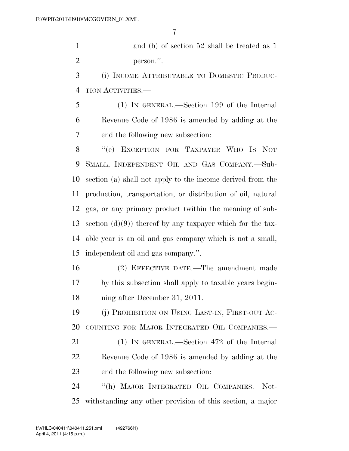and (b) of section 52 shall be treated as 1 person.''.

 (i) INCOME ATTRIBUTABLE TO DOMESTIC PRODUC-TION ACTIVITIES.—

 (1) IN GENERAL.—Section 199 of the Internal Revenue Code of 1986 is amended by adding at the end the following new subsection:

 ''(e) EXCEPTION FOR TAXPAYER WHO IS NOT SMALL, INDEPENDENT OIL AND GAS COMPANY.—Sub- section (a) shall not apply to the income derived from the production, transportation, or distribution of oil, natural gas, or any primary product (within the meaning of sub-13 section (d)(9)) thereof by any taxpayer which for the tax- able year is an oil and gas company which is not a small, independent oil and gas company.''.

 (2) EFFECTIVE DATE.—The amendment made by this subsection shall apply to taxable years begin-ning after December 31, 2011.

 (j) PROHIBITION ON USING LAST-IN, FIRST-OUT AC-COUNTING FOR MAJOR INTEGRATED OIL COMPANIES.—

 (1) IN GENERAL.—Section 472 of the Internal Revenue Code of 1986 is amended by adding at the end the following new subsection:

 ''(h) MAJOR INTEGRATED OIL COMPANIES.—Not-withstanding any other provision of this section, a major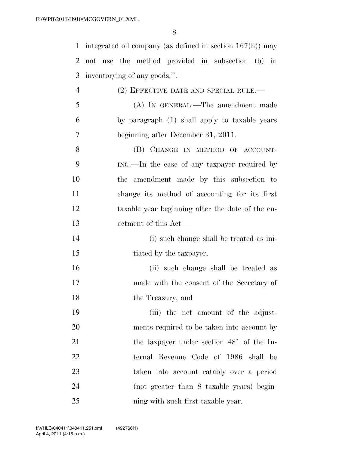integrated oil company (as defined in section 167(h)) may not use the method provided in subsection (b) in inventorying of any goods.''.

| 4  | $(2)$ EFFECTIVE DATE AND SPECIAL RULE.—          |
|----|--------------------------------------------------|
| 5  | (A) IN GENERAL.—The amendment made               |
| 6  | by paragraph (1) shall apply to taxable years    |
| 7  | beginning after December 31, 2011.               |
| 8  | (B) CHANGE IN METHOD OF ACCOUNT-                 |
| 9  | ING.—In the case of any taxpayer required by     |
| 10 | the amendment made by this subsection to         |
| 11 | change its method of accounting for its first    |
| 12 | taxable year beginning after the date of the en- |
| 13 | actment of this Act—                             |
| 14 | (i) such change shall be treated as ini-         |
| 15 | tiated by the taxpayer,                          |
| 16 | (ii) such change shall be treated as             |
| 17 | made with the consent of the Secretary of        |
| 18 | the Treasury, and                                |
| 19 | (iii) the net amount of the adjust-              |
| 20 | ments required to be taken into account by       |
| 21 | the taxpayer under section 481 of the In-        |
| 22 | ternal Revenue Code of 1986 shall be             |
| 23 | taken into account ratably over a period         |
| 24 | (not greater than 8 taxable years) begin-        |
| 25 | ning with such first taxable year.               |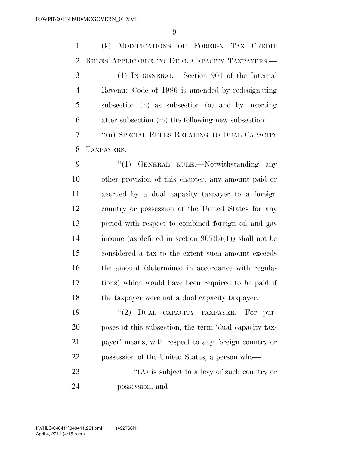(k) MODIFICATIONS OF FOREIGN TAX CREDIT RULES APPLICABLE TO DUAL CAPACITY TAXPAYERS.— (1) IN GENERAL.—Section 901 of the Internal Revenue Code of 1986 is amended by redesignating subsection (n) as subsection (o) and by inserting after subsection (m) the following new subsection: ''(n) SPECIAL RULES RELATING TO DUAL CAPACITY TAXPAYERS.— 9 "(1) GENERAL RULE.—Notwithstanding any other provision of this chapter, any amount paid or accrued by a dual capacity taxpayer to a foreign country or possession of the United States for any period with respect to combined foreign oil and gas income (as defined in section 907(b)(1)) shall not be considered a tax to the extent such amount exceeds 16 the amount (determined in accordance with regula- tions) which would have been required to be paid if the taxpayer were not a dual capacity taxpayer.

 $(2)$  DUAL CAPACITY TAXPAYER. For pur- poses of this subsection, the term 'dual capacity tax- payer' means, with respect to any foreign country or possession of the United States, a person who—

23 ''(A) is subject to a levy of such country or possession, and